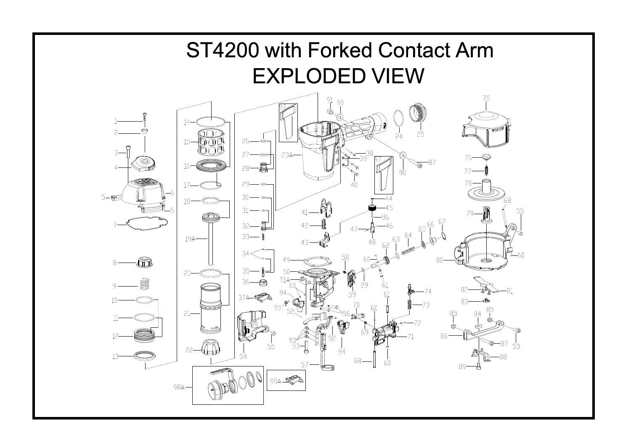